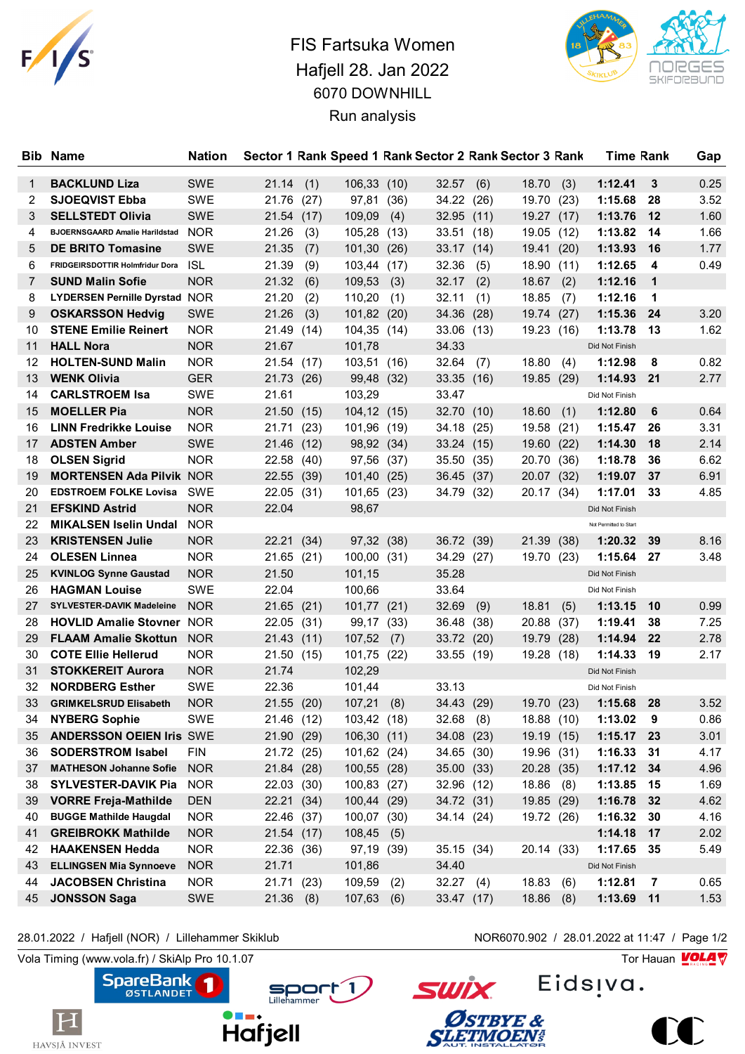

## FIS Fartsuka Women Hafjell 28. Jan 2022 6070 DOWNHILL Run analysis

**Bib** Name **Nation** Sector 1 Rank Speed 1 Rank Sector 2 Rank Sector 3 Rank Time Rank Gap



| 1              | <b>BACKLUND Liza</b>                 | <b>SWE</b> | 21.14       | (1)  | 106,33(10)   |      | 32.57       | (6)  | 18.70      | (3)  | 1:12.41                | 3              | 0.25 |
|----------------|--------------------------------------|------------|-------------|------|--------------|------|-------------|------|------------|------|------------------------|----------------|------|
| $\overline{2}$ | <b>SJOEQVIST Ebba</b>                | <b>SWE</b> | 21.76 (27)  |      | 97,81        | (36) | 34.22       | (26) | 19.70      | (23) | 1:15.68                | 28             | 3.52 |
| 3              | <b>SELLSTEDT Olivia</b>              | <b>SWE</b> | 21.54 (17)  |      | 109,09       | (4)  | 32.95(11)   |      | 19.27 (17) |      | 1:13.76                | $12 \,$        | 1.60 |
| 4              | BJOERNSGAARD Amalie Harildstad NOR   |            | 21.26       | (3)  | 105,28       | (13) | 33.51       | (18) | 19.05      | (12) | 1:13.82                | 14             | 1.66 |
| 5              | <b>DE BRITO Tomasine</b>             | <b>SWE</b> | 21.35       | (7)  | 101,30       | (26) | 33.17 (14)  |      | 19.41      | (20) | 1:13.93                | 16             | 1.77 |
| 6              | FRIDGEIRSDOTTIR Holmfridur Dora      | <b>ISL</b> | 21.39       | (9)  | 103,44       | (17) | 32.36       | (5)  | 18.90      | (11) | 1:12.65                | 4              | 0.49 |
| 7              | <b>SUND Malin Sofie</b>              | <b>NOR</b> | 21.32       | (6)  | 109,53       | (3)  | 32.17       | (2)  | 18.67      | (2)  | 1:12.16                | $\mathbf 1$    |      |
| 8              | <b>LYDERSEN Pernille Dyrstad NOR</b> |            | 21.20       | (2)  | 110,20       | (1)  | 32.11       | (1)  | 18.85      | (7)  | 1:12.16                | 1              |      |
| 9              | <b>OSKARSSON Hedvig</b>              | <b>SWE</b> | 21.26       | (3)  | 101,82 (20)  |      | 34.36 (28)  |      | 19.74      | (27) | 1:15.36                | 24             | 3.20 |
| 10             | <b>STENE Emilie Reinert</b>          | <b>NOR</b> | 21.49 (14)  |      | 104,35 (14)  |      | 33.06(13)   |      | 19.23      | (16) | 1:13.78                | 13             | 1.62 |
| 11             | <b>HALL Nora</b>                     | <b>NOR</b> | 21.67       |      | 101,78       |      | 34.33       |      |            |      | Did Not Finish         |                |      |
| 12             | <b>HOLTEN-SUND Malin</b>             | <b>NOR</b> | 21.54 (17)  |      | 103,51 (16)  |      | 32.64       | (7)  | 18.80      | (4)  | 1:12.98                | 8              | 0.82 |
| 13             | <b>WENK Olivia</b>                   | <b>GER</b> | 21.73 (26)  |      | 99,48        | (32) | 33.35(16)   |      | 19.85      | (29) | 1:14.93                | - 21           | 2.77 |
| 14             | <b>CARLSTROEM Isa</b>                | SWE        | 21.61       |      | 103,29       |      | 33.47       |      |            |      | Did Not Finish         |                |      |
| 15             | <b>MOELLER Pia</b>                   | <b>NOR</b> | 21.50 (15)  |      | 104,12 (15)  |      | 32.70 (10)  |      | 18.60      | (1)  | 1:12.80                | 6              | 0.64 |
| 16             | <b>LINN Fredrikke Louise</b>         | <b>NOR</b> | 21.71       | (23) | 101,96 (19)  |      | 34.18       | (25) | 19.58      | (21) | 1:15.47                | 26             | 3.31 |
| 17             | <b>ADSTEN Amber</b>                  | <b>SWE</b> | 21.46 (12)  |      | 98,92 (34)   |      | 33.24(15)   |      | 19.60      | (22) | 1:14.30                | 18             | 2.14 |
| 18             | <b>OLSEN Sigrid</b>                  | <b>NOR</b> | 22.58 (40)  |      | 97,56        | (37) | 35.50       | (35) | 20.70      | (36) | 1:18.78                | 36             | 6.62 |
| 19             | <b>MORTENSEN Ada Pilvik NOR</b>      |            | 22.55 (39)  |      | 101,40       | (25) | 36.45 (37)  |      | 20.07 (32) |      | 1:19.07                | 37             | 6.91 |
| 20             | <b>EDSTROEM FOLKE Lovisa</b>         | <b>SWE</b> | 22.05 (31)  |      | 101,65 (23)  |      | 34.79 (32)  |      | 20.17 (34) |      | 1:17.01                | 33             | 4.85 |
| 21             | <b>EFSKIND Astrid</b>                | <b>NOR</b> | 22.04       |      | 98,67        |      |             |      |            |      | Did Not Finish         |                |      |
| 22             | <b>MIKALSEN Iselin Undal NOR</b>     |            |             |      |              |      |             |      |            |      | Not Permitted to Start |                |      |
| 23             | <b>KRISTENSEN Julie</b>              | <b>NOR</b> | 22.21 (34)  |      | 97,32 (38)   |      | 36.72 (39)  |      | 21.39      | (38) | 1:20.32                | 39             | 8.16 |
| 24             | <b>OLESEN Linnea</b>                 | <b>NOR</b> | 21.65(21)   |      | 100,00 (31)  |      | 34.29 (27)  |      | 19.70      | (23) | 1:15.64                | 27             | 3.48 |
| 25             | <b>KVINLOG Synne Gaustad</b>         | <b>NOR</b> | 21.50       |      | 101,15       |      | 35.28       |      |            |      | Did Not Finish         |                |      |
| 26             | <b>HAGMAN Louise</b>                 | <b>SWE</b> | 22.04       |      | 100,66       |      | 33.64       |      |            |      | Did Not Finish         |                |      |
| 27             | <b>SYLVESTER-DAVIK Madeleine</b>     | <b>NOR</b> | 21.65(21)   |      | 101,77 (21)  |      | 32.69       | (9)  | 18.81      | (5)  | 1:13.15                | 10             | 0.99 |
| 28             | <b>HOVLID Amalie Stovner NOR</b>     |            | 22.05 (31)  |      | 99,17 (33)   |      | 36.48       | (38) | 20.88      | (37) | 1:19.41                | 38             | 7.25 |
| 29             | <b>FLAAM Amalie Skottun</b>          | <b>NOR</b> | 21.43 (11)  |      | 107,52       | (7)  | 33.72 (20)  |      | 19.79      | (28) | 1:14.94                | 22             | 2.78 |
| 30             | <b>COTE Ellie Hellerud</b>           | <b>NOR</b> | 21.50 (15)  |      | 101,75       | (22) | 33.55 (19)  |      | 19.28      | (18) | 1:14.33                | 19             | 2.17 |
| 31             | <b>STOKKEREIT Aurora</b>             | <b>NOR</b> | 21.74       |      | 102,29       |      |             |      |            |      | Did Not Finish         |                |      |
| 32             | <b>NORDBERG Esther</b>               | <b>SWE</b> | 22.36       |      | 101,44       |      | 33.13       |      |            |      | Did Not Finish         |                |      |
| 33             | <b>GRIMKELSRUD Elisabeth</b>         | <b>NOR</b> | 21.55(20)   |      | 107,21       | (8)  | 34.43 (29)  |      | 19.70      | (23) | 1:15.68                | 28             | 3.52 |
| 34             | <b>NYBERG Sophie</b>                 | <b>SWE</b> | 21.46 (12)  |      | 103,42 (18)  |      | $32.68$ (8) |      | 18.88 (10) |      | 1:13.02                | 9              | 0.86 |
|                | 35 ANDERSSON OEIEN Iris SWE          |            | 21.90 (29)  |      | 106,30 (11)  |      | 34.08 (23)  |      | 19.19 (15) |      | 1:15.17 23             |                | 3.01 |
| 36             | <b>SODERSTROM Isabel</b>             | <b>FIN</b> | 21.72 (25)  |      | 101,62 (24)  |      | 34.65 (30)  |      | 19.96 (31) |      | 1:16.33                | 31             | 4.17 |
| 37             | <b>MATHESON Johanne Sofie</b>        | <b>NOR</b> | 21.84 (28)  |      | 100,55 (28)  |      | 35.00 (33)  |      | 20.28 (35) |      | 1:17.12                | 34             | 4.96 |
| 38             | <b>SYLVESTER-DAVIK Pia</b>           | <b>NOR</b> | 22.03 (30)  |      | 100,83       | (27) | 32.96 (12)  |      | 18.86      | (8)  | 1:13.85                | 15             | 1.69 |
| 39             | <b>VORRE Freja-Mathilde</b>          | <b>DEN</b> | 22.21 (34)  |      | 100,44 (29)  |      | 34.72 (31)  |      | 19.85 (29) |      | 1:16.78                | 32             | 4.62 |
| 40             | <b>BUGGE Mathilde Haugdal</b>        | <b>NOR</b> | 22.46 (37)  |      | 100,07 (30)  |      | 34.14 (24)  |      | 19.72 (26) |      | 1:16.32                | 30             | 4.16 |
| 41             | <b>GREIBROKK Mathilde</b>            | <b>NOR</b> | 21.54 (17)  |      | 108,45       | (5)  |             |      |            |      | 1:14.18                | 17             | 2.02 |
| 42             | <b>HAAKENSEN Hedda</b>               | <b>NOR</b> | 22.36 (36)  |      | 97,19        | (39) | 35.15 (34)  |      | 20.14 (33) |      | 1:17.65                | 35             | 5.49 |
| 43             | <b>ELLINGSEN Mia Synnoeve</b>        | <b>NOR</b> | 21.71       |      | 101,86       |      | 34.40       |      |            |      | Did Not Finish         |                |      |
| 44             | <b>JACOBSEN Christina</b>            | <b>NOR</b> | 21.71 (23)  |      | 109,59       | (2)  | 32.27(4)    |      | 18.83      | (6)  | 1:12.81                | $\overline{7}$ | 0.65 |
| 45             | <b>JONSSON Saga</b>                  | SWE        | $21.36$ (8) |      | $107,63$ (6) |      | 33.47 (17)  |      | 18.86      | (8)  | 1:13.69 11             |                | 1.53 |

28.01.2022 / Hafjell (NOR) / Lillehammer Skiklub NOR6070.902 / 28.01.2022 at 11:47 / Page 1/2

 $|{\rm H}|$ 

HAVSJÅ INVEST

**SpareBank** Sport 1 **Hafjell** 

Eids<sub>!va</sub>.

Vola Timing (www.vola.fr) / SkiAlp Pro 10.1.07 Tor Hauan Motor Pro 10.1.07 Tor Hauan Motor Pro 10.1.07

 $\sum_{i=1}^{\infty}$ 



**SWİX**